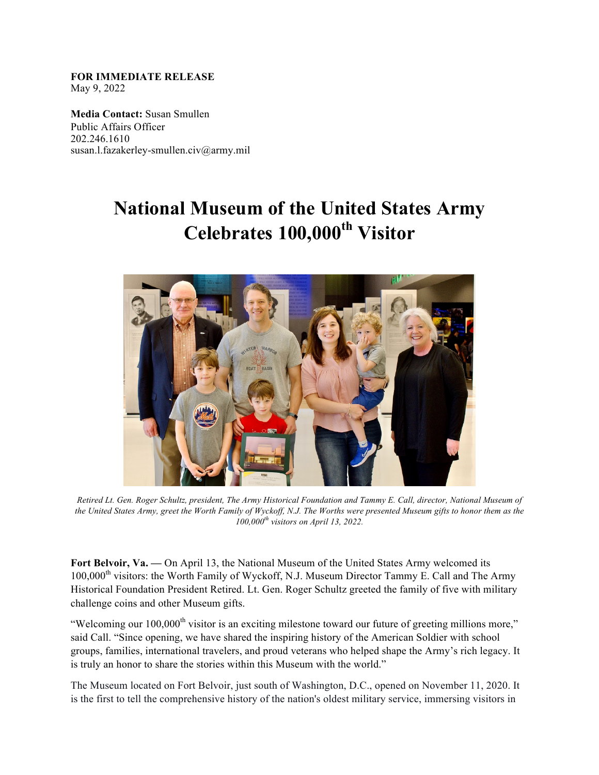**FOR IMMEDIATE RELEASE**  May 9, 2022

**Media Contact:** Susan Smullen Public Affairs Officer 202.246.1610 susan.l.fazakerley-smullen.civ@army.mil

## **National Museum of the United States Army Celebrates 100,000th Visitor**



*Retired Lt. Gen. Roger Schultz, president, The Army Historical Foundation and Tammy E. Call, director, National Museum of the United States Army, greet the Worth Family of Wyckoff, N.J. The Worths were presented Museum gifts to honor them as the 100,000th visitors on April 13, 2022.* 

Fort Belvoir, Va. — On April 13, the National Museum of the United States Army welcomed its 100,000<sup>th</sup> visitors: the Worth Family of Wyckoff, N.J. Museum Director Tammy E. Call and The Army Historical Foundation President Retired. Lt. Gen. Roger Schultz greeted the family of five with military challenge coins and other Museum gifts.

"Welcoming our 100,000<sup>th</sup> visitor is an exciting milestone toward our future of greeting millions more," said Call. "Since opening, we have shared the inspiring history of the American Soldier with school groups, families, international travelers, and proud veterans who helped shape the Army's rich legacy. It is truly an honor to share the stories within this Museum with the world."

The Museum located on Fort Belvoir, just south of Washington, D.C., opened on November 11, 2020. It is the first to tell the comprehensive history of the nation's oldest military service, immersing visitors in